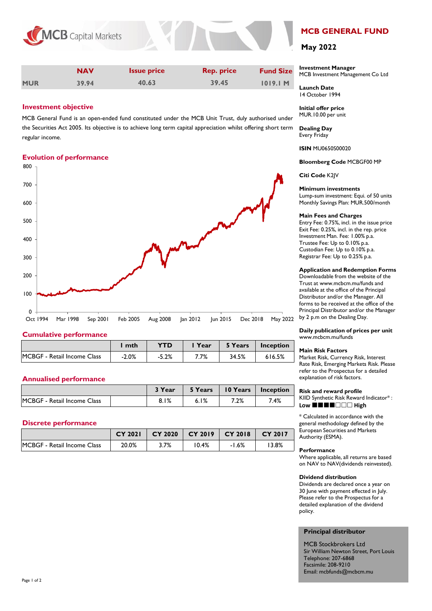

|            | <b>NAV</b> | <b>Issue price</b> | <b>Rep. price</b> | <b>Fund Size</b> |
|------------|------------|--------------------|-------------------|------------------|
| <b>MUR</b> | 39.94      | 40.63              | 39.45             | 1019.1 M         |

# **Investment objective**

MCB General Fund is an open-ended fund constituted under the MCB Unit Trust, duly authorised under the Securities Act 2005. Its objective is to achieve long term capital appreciation whilst offering short term regular income.

# **Evolution of performance**



### **Cumulative performance**

|                                    | mth     | YTD     | Year | 5 Years | Inception |
|------------------------------------|---------|---------|------|---------|-----------|
| <b>MCBGF - Retail Income Class</b> | $-2.0%$ | $-5.2%$ | 7.7% | 34.5%   | 616.5%    |

# **Annualised performance**

|                             | 3 Year | 5 Years | $\blacksquare$ 10 Years $\blacksquare$ | Inception |
|-----------------------------|--------|---------|----------------------------------------|-----------|
| MCBGF - Retail Income Class | 8.1%   | 6.1%    | 7.2%                                   | 7.4%      |

# **Discrete performance**

|                                     | <b>CY 2021</b> | CY 2020 | $CY$ 2019 | $CY$ 2018 | CY 2017 |
|-------------------------------------|----------------|---------|-----------|-----------|---------|
| <b>IMCBGF - Retail Income Class</b> | 20.0%          | 3.7%    | 10.4%     | $-1.6%$   | '3.8%   |

# **MCB GENERAL FUND**

# **May 2022**

**Investment Manager**  MCB Investment Management Co Ltd

**Launch Date** 14 October 1994

**Initial offer price** MUR.10.00 per unit

**Dealing Day** Every Friday

**ISIN** MU0650S00020

**Bloomberg Code** MCBGF00 MP

**Citi Code** K2JV

#### **Minimum investments**

Lump-sum investment: Equi. of 50 units Monthly Savings Plan: MUR.500/month

#### **Main Fees and Charges**

Entry Fee: 0.75%, incl. in the issue price Exit Fee: 0.25%, incl. in the rep. price Investment Man. Fee: 1.00% p.a. Trustee Fee: Up to 0.10% p.a. Custodian Fee: Up to 0.10% p.a. Registrar Fee: Up to 0.25% p.a.

#### **Application and Redemption Forms**

Downloadable from the website of the Trust at www.mcbcm.mu/funds and available at the office of the Principal Distributor and/or the Manager. All forms to be received at the office of the Principal Distributor and/or the Manager by 2 p.m on the Dealing Day.

**Daily publication of prices per unit** www.mcbcm.mu/funds

#### **Main Risk Factors**

Market Risk, Currency Risk, Interest Rate Risk, Emerging Markets Risk. Please refer to the Prospectus for a detailed explanation of risk factors.

#### **Risk and reward profile**

KIID Synthetic Risk Reward Indicator\* : Low **HHHHHHHH** 

\* Calculated in accordance with the general methodology defined by the European Securities and Markets Authority (ESMA).

#### **Performance**

Where applicable, all returns are based on NAV to NAV(dividends reinvested).

#### **Dividend distribution**

Dividends are declared once a year on 30 June with payment effected in July. Please refer to the Prospectus for a detailed explanation of the dividend policy.

#### **Principal distributor**

MCB Stockbrokers Ltd Sir William Newton Street, Port Louis Telephone: 207-6868 Facsimile: 208-9210 Email: mcbfunds@mcbcm.mu